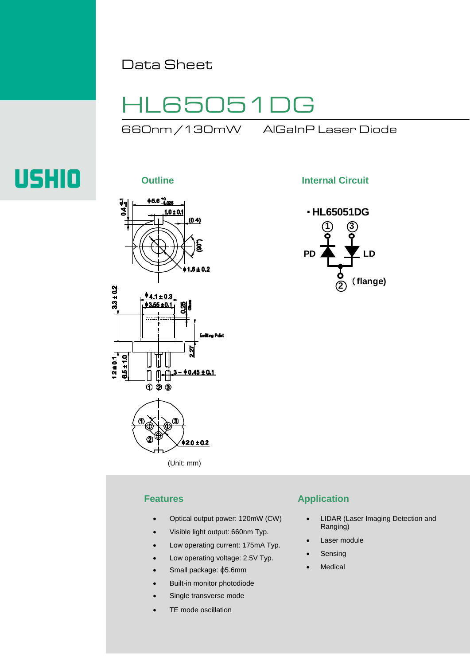Data Sheet

# HL65051DG

660nm /130mW AlGaInP Laser Diode

# **USHIO**



li

ℿ  $020$ 

 $\Phi$ 

**Outline Internal Circuit** 



(Unit: mm)

 $42.0 \pm 0.2$ 

 $\int_{0}^{\frac{\pi}{2}} \frac{3 - 0.45 \pm 0.1}{1}$ 

- Optical output power: 120mW (CW)
- Visible light output: 660nm Typ.
- Low operating current: 175mA Typ.
- Low operating voltage: 2.5V Typ.
- Small package: φ5.6mm
- Built-in monitor photodiode
- Single transverse mode
- TE mode oscillation

### **Features Application**

- LIDAR (Laser Imaging Detection and Ranging)
- Laser module
- **Sensing**
- **Medical**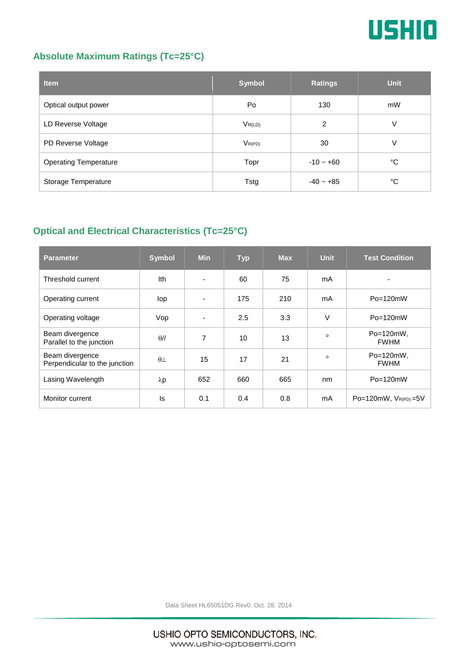

## **Absolute Maximum Ratings (Tc=25°C)**

| <b>Item</b>                  | <b>Symbol</b> | <b>Ratings</b> | <b>Unit</b> |
|------------------------------|---------------|----------------|-------------|
| Optical output power         | Po            | 130            | mW          |
| LD Reverse Voltage           | $V_{R(LD)}$   | 2              | V           |
| PD Reverse Voltage           | $V_{R(PD)}$   | 30             | V           |
| <b>Operating Temperature</b> | Topr          | $-10 - +60$    | °C          |
| Storage Temperature          | Tstg          | $-40 - +85$    | °C          |

## **Optical and Electrical Characteristics (Tc=25°C)**

| <b>Parameter</b>                                 | <b>Symbol</b>    | <b>Min</b>               | <b>Typ</b> | <b>Max</b> | <b>Unit</b> | <b>Test Condition</b>       |
|--------------------------------------------------|------------------|--------------------------|------------|------------|-------------|-----------------------------|
| Threshold current                                | Ith              | $\blacksquare$           | 60         | 75         | mA          |                             |
| Operating current                                | lop              | $\overline{\phantom{a}}$ | 175        | 210        | mA          | $Po = 120mW$                |
| Operating voltage                                | Vop              | $\blacksquare$           | 2.5        | 3.3        | $\vee$      | $Po = 120mW$                |
| Beam divergence<br>Parallel to the junction      | $\theta$ //      | 7                        | 10         | 13         | $\Omega$    | Po=120mW,<br><b>FWHM</b>    |
| Beam divergence<br>Perpendicular to the junction | $\theta$ $\perp$ | 15                       | 17         | 21         | $\Omega$    | Po=120mW,<br><b>FWHM</b>    |
| Lasing Wavelength                                | $\lambda p$      | 652                      | 660        | 665        | nm          | $Po = 120mW$                |
| Monitor current                                  | ls               | 0.1                      | 0.4        | 0.8        | mA          | $Po=120mW$ , $V_{R(PD)}=5V$ |

Data Sheet HL65051DG Rev0. Oct. 28. 2014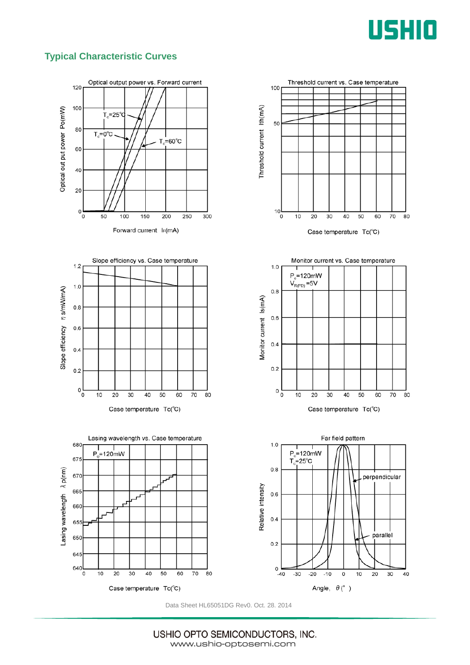

### **Typical Characteristic Curves**



Data Sheet HL65051DG Rev0. Oct. 28. 2014

USHIO OPTO SEMICONDUCTORS, INC. www.ushio-optosemi.com